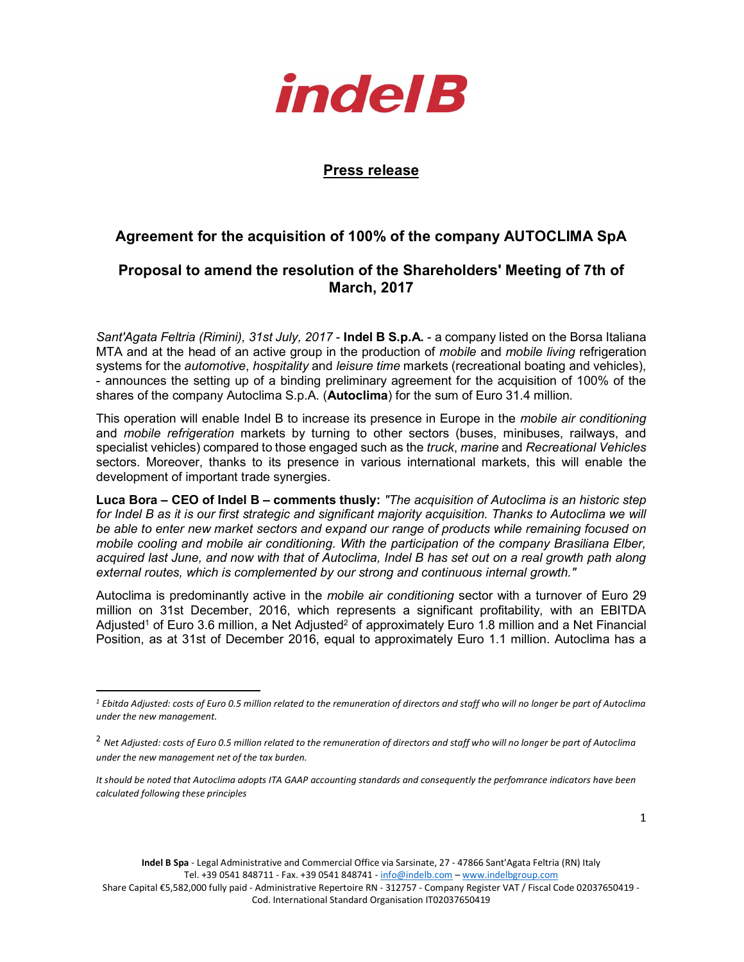

## Press release

## Agreement for the acquisition of 100% of the company AUTOCLIMA SpA

## Proposal to amend the resolution of the Shareholders' Meeting of 7th of March, 2017

Sant'Agata Feltria (Rimini), 31st July, 2017 - Indel B S.p.A. - a company listed on the Borsa Italiana MTA and at the head of an active group in the production of *mobile* and *mobile living* refrigeration systems for the *automotive*, *hospitality* and *leisure time* markets (recreational boating and vehicles), - announces the setting up of a binding preliminary agreement for the acquisition of 100% of the shares of the company Autoclima S.p.A. (**Autoclima**) for the sum of Euro 31.4 million.

This operation will enable Indel B to increase its presence in Europe in the mobile air conditioning and *mobile refrigeration* markets by turning to other sectors (buses, minibuses, railways, and specialist vehicles) compared to those engaged such as the truck, marine and Recreational Vehicles sectors. Moreover, thanks to its presence in various international markets, this will enable the development of important trade synergies.

Luca Bora – CEO of Indel B – comments thusly: "The acquisition of Autoclima is an historic step for Indel B as it is our first strategic and significant majority acquisition. Thanks to Autoclima we will be able to enter new market sectors and expand our range of products while remaining focused on mobile cooling and mobile air conditioning. With the participation of the company Brasiliana Elber, acquired last June, and now with that of Autoclima, Indel B has set out on a real growth path along external routes, which is complemented by our strong and continuous internal growth."

Autoclima is predominantly active in the *mobile air conditioning* sector with a turnover of Euro 29 million on 31st December, 2016, which represents a significant profitability, with an EBITDA Adjusted<sup>1</sup> of Euro 3.6 million, a Net Adjusted<sup>2</sup> of approximately Euro 1.8 million and a Net Financial Position, as at 31st of December 2016, equal to approximately Euro 1.1 million. Autoclima has a

-

Indel B Spa - Legal Administrative and Commercial Office via Sarsinate, 27 - 47866 Sant'Agata Feltria (RN) Italy Tel. +39 0541 848711 - Fax. +39 0541 848741 - info@indelb.com - www.indelbgroup.com

Share Capital €5,582,000 fully paid - Administrative Repertoire RN - 312757 - Company Register VAT / Fiscal Code 02037650419 - Cod. International Standard Organisation IT02037650419

 $^{\rm 1}$  Ebitda Adjusted: costs of Euro 0.5 million related to the remuneration of directors and staff who will no longer be part of Autoclima under the new management.

 $^2$  Net Adjusted: costs of Euro 0.5 million related to the remuneration of directors and staff who will no longer be part of Autoclima under the new management net of the tax burden.

It should be noted that Autoclima adopts ITA GAAP accounting standards and consequently the perfomrance indicators have been calculated following these principles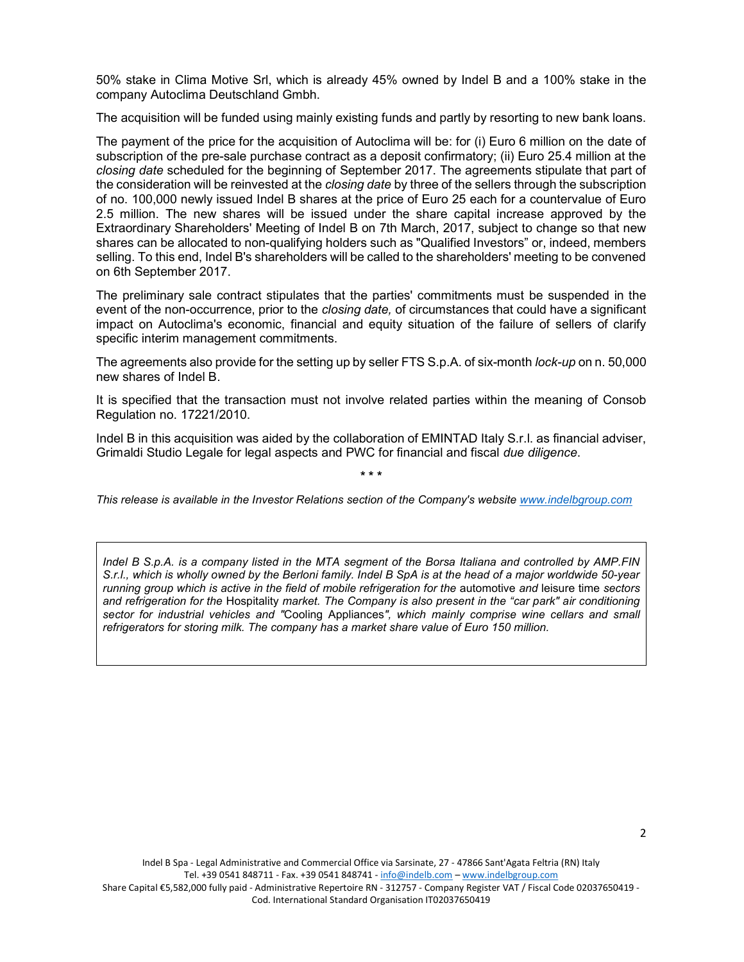50% stake in Clima Motive Srl, which is already 45% owned by Indel B and a 100% stake in the company Autoclima Deutschland Gmbh.

The acquisition will be funded using mainly existing funds and partly by resorting to new bank loans.

The payment of the price for the acquisition of Autoclima will be: for (i) Euro 6 million on the date of subscription of the pre-sale purchase contract as a deposit confirmatory; (ii) Euro 25.4 million at the closing date scheduled for the beginning of September 2017. The agreements stipulate that part of the consideration will be reinvested at the *closing date* by three of the sellers through the subscription of no. 100,000 newly issued Indel B shares at the price of Euro 25 each for a countervalue of Euro 2.5 million. The new shares will be issued under the share capital increase approved by the Extraordinary Shareholders' Meeting of Indel B on 7th March, 2017, subject to change so that new shares can be allocated to non-qualifying holders such as "Qualified Investors" or, indeed, members selling. To this end, Indel B's shareholders will be called to the shareholders' meeting to be convened on 6th September 2017.

The preliminary sale contract stipulates that the parties' commitments must be suspended in the event of the non-occurrence, prior to the *closing date*, of circumstances that could have a significant impact on Autoclima's economic, financial and equity situation of the failure of sellers of clarify specific interim management commitments.

The agreements also provide for the setting up by seller FTS S.p.A. of six-month *lock-up* on n. 50,000 new shares of Indel B.

It is specified that the transaction must not involve related parties within the meaning of Consob Regulation no. 17221/2010.

Indel B in this acquisition was aided by the collaboration of EMINTAD Italy S.r.l. as financial adviser, Grimaldi Studio Legale for legal aspects and PWC for financial and fiscal due diligence.

\* \* \*

This release is available in the Investor Relations section of the Company's website www.indelbgroup.com

Indel B S.p.A. is a company listed in the MTA segment of the Borsa Italiana and controlled by AMP.FIN S.r.l., which is wholly owned by the Berloni family. Indel B SpA is at the head of a major worldwide 50-year running group which is active in the field of mobile refrigeration for the automotive and leisure time sectors and refrigeration for the Hospitality market. The Company is also present in the "car park" air conditioning sector for industrial vehicles and "Cooling Appliances", which mainly comprise wine cellars and small refrigerators for storing milk. The company has a market share value of Euro 150 million.